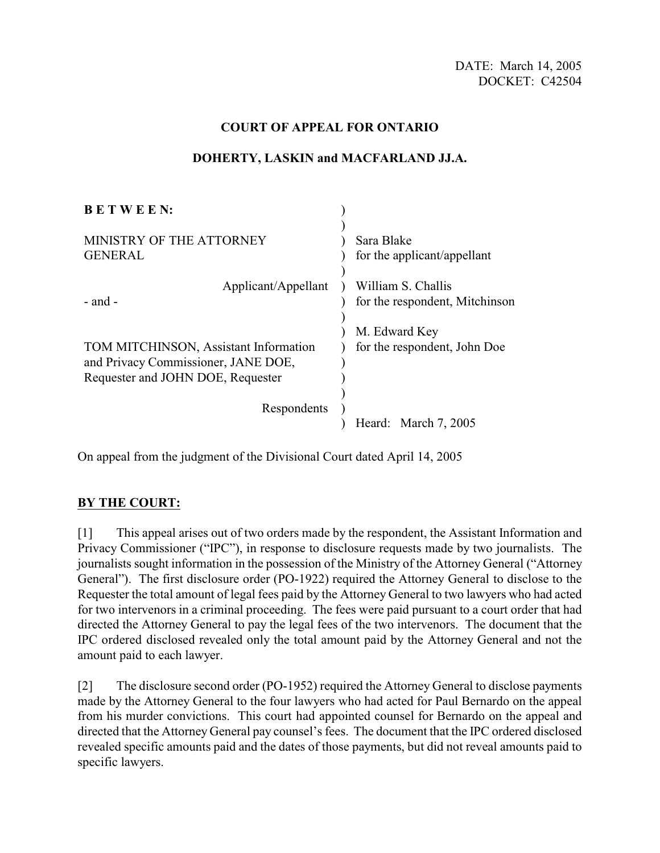## **COURT OF APPEAL FOR ONTARIO**

#### **B E T W E E N:** MINISTRY OF THE ATTORNEY GENERAL Applicant/Appellant ) William S. Challis - and - TOM MITCHINSON, Assistant Information and Privacy Commissioner, JANE DOE, Requester and JOHN DOE, Requester Respondents ) ) ) ) for the applicant/appellant ) ) )  $\lambda$  $\lambda$ ) ) ) )  $\lambda$ Sara Blake for the respondent, Mitchinson M. Edward Key for the respondent, John Doe Heard: March 7, 2005

#### **DOHERTY, LASKIN and MACFARLAND JJ.A.**

On appeal from the judgment of the Divisional Court dated April 14, 2005

# **BY THE COURT:**

[1] This appeal arises out of two orders made by the respondent, the Assistant Information and Privacy Commissioner ("IPC"), in response to disclosure requests made by two journalists. The journalists sought information in the possession of the Ministry of the Attorney General ("Attorney General"). The first disclosure order (PO-1922) required the Attorney General to disclose to the Requester the total amount of legal fees paid by the Attorney General to two lawyers who had acted for two intervenors in a criminal proceeding. The fees were paid pursuant to a court order that had directed the Attorney General to pay the legal fees of the two intervenors. The document that the IPC ordered disclosed revealed only the total amount paid by the Attorney General and not the amount paid to each lawyer.

[2] The disclosure second order (PO-1952) required the Attorney General to disclose payments made by the Attorney General to the four lawyers who had acted for Paul Bernardo on the appeal from his murder convictions. This court had appointed counsel for Bernardo on the appeal and directed that the Attorney General pay counsel's fees. The document that the IPC ordered disclosed revealed specific amounts paid and the dates of those payments, but did not reveal amounts paid to specific lawyers.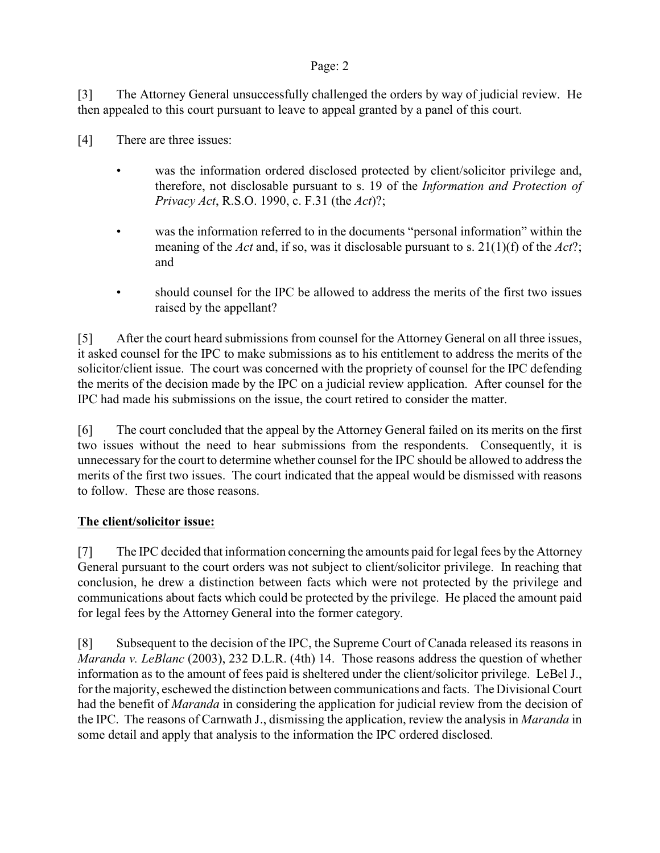#### Page: 2

[3] The Attorney General unsuccessfully challenged the orders by way of judicial review. He then appealed to this court pursuant to leave to appeal granted by a panel of this court.

- [4] There are three issues:
	- was the information ordered disclosed protected by client/solicitor privilege and, therefore, not disclosable pursuant to s. 19 of the *Information and Protection of Privacy Act*, R.S.O. 1990, c. F.31 (the *Act*)?;
	- was the information referred to in the documents "personal information" within the meaning of the *Act* and, if so, was it disclosable pursuant to s. 21(1)(f) of the *Act*?; and
	- should counsel for the IPC be allowed to address the merits of the first two issues raised by the appellant?

[5] After the court heard submissions from counsel for the Attorney General on all three issues, it asked counsel for the IPC to make submissions as to his entitlement to address the merits of the solicitor/client issue. The court was concerned with the propriety of counsel for the IPC defending the merits of the decision made by the IPC on a judicial review application. After counsel for the IPC had made his submissions on the issue, the court retired to consider the matter.

[6] The court concluded that the appeal by the Attorney General failed on its merits on the first two issues without the need to hear submissions from the respondents. Consequently, it is unnecessary for the court to determine whether counsel for the IPC should be allowed to address the merits of the first two issues. The court indicated that the appeal would be dismissed with reasons to follow. These are those reasons.

# **The client/solicitor issue:**

[7] The IPC decided that information concerning the amounts paid for legal fees by the Attorney General pursuant to the court orders was not subject to client/solicitor privilege. In reaching that conclusion, he drew a distinction between facts which were not protected by the privilege and communications about facts which could be protected by the privilege. He placed the amount paid for legal fees by the Attorney General into the former category.

[8] Subsequent to the decision of the IPC, the Supreme Court of Canada released its reasons in *Maranda v. LeBlanc* (2003), 232 D.L.R. (4th) 14. Those reasons address the question of whether information as to the amount of fees paid is sheltered under the client/solicitor privilege. LeBel J., for the majority, eschewed the distinction between communications and facts. The Divisional Court had the benefit of *Maranda* in considering the application for judicial review from the decision of the IPC. The reasons of Carnwath J., dismissing the application, review the analysis in *Maranda* in some detail and apply that analysis to the information the IPC ordered disclosed.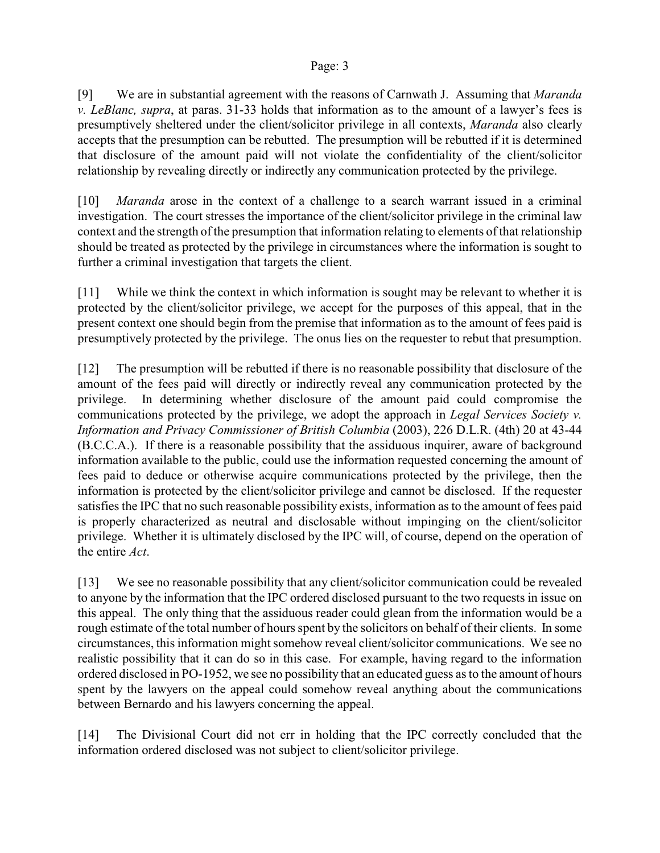#### Page: 3

[9] We are in substantial agreement with the reasons of Carnwath J. Assuming that *Maranda v. LeBlanc, supra*, at paras. 31-33 holds that information as to the amount of a lawyer's fees is presumptively sheltered under the client/solicitor privilege in all contexts, *Maranda* also clearly accepts that the presumption can be rebutted. The presumption will be rebutted if it is determined that disclosure of the amount paid will not violate the confidentiality of the client/solicitor relationship by revealing directly or indirectly any communication protected by the privilege.

[10] *Maranda* arose in the context of a challenge to a search warrant issued in a criminal investigation. The court stresses the importance of the client/solicitor privilege in the criminal law context and the strength of the presumption that information relating to elements of that relationship should be treated as protected by the privilege in circumstances where the information is sought to further a criminal investigation that targets the client.

[11] While we think the context in which information is sought may be relevant to whether it is protected by the client/solicitor privilege, we accept for the purposes of this appeal, that in the present context one should begin from the premise that information as to the amount of fees paid is presumptively protected by the privilege. The onus lies on the requester to rebut that presumption.

[12] The presumption will be rebutted if there is no reasonable possibility that disclosure of the amount of the fees paid will directly or indirectly reveal any communication protected by the privilege. In determining whether disclosure of the amount paid could compromise the communications protected by the privilege, we adopt the approach in *Legal Services Society v. Information and Privacy Commissioner of British Columbia* (2003), 226 D.L.R. (4th) 20 at 43-44 (B.C.C.A.). If there is a reasonable possibility that the assiduous inquirer, aware of background information available to the public, could use the information requested concerning the amount of fees paid to deduce or otherwise acquire communications protected by the privilege, then the information is protected by the client/solicitor privilege and cannot be disclosed. If the requester satisfies the IPC that no such reasonable possibility exists, information as to the amount of fees paid is properly characterized as neutral and disclosable without impinging on the client/solicitor privilege. Whether it is ultimately disclosed by the IPC will, of course, depend on the operation of the entire *Act*.

[13] We see no reasonable possibility that any client/solicitor communication could be revealed to anyone by the information that the IPC ordered disclosed pursuant to the two requests in issue on this appeal. The only thing that the assiduous reader could glean from the information would be a rough estimate of the total number of hours spent by the solicitors on behalf of their clients. In some circumstances, this information might somehow reveal client/solicitor communications. We see no realistic possibility that it can do so in this case. For example, having regard to the information ordered disclosed in PO-1952, we see no possibility that an educated guess as to the amount of hours spent by the lawyers on the appeal could somehow reveal anything about the communications between Bernardo and his lawyers concerning the appeal.

[14] The Divisional Court did not err in holding that the IPC correctly concluded that the information ordered disclosed was not subject to client/solicitor privilege.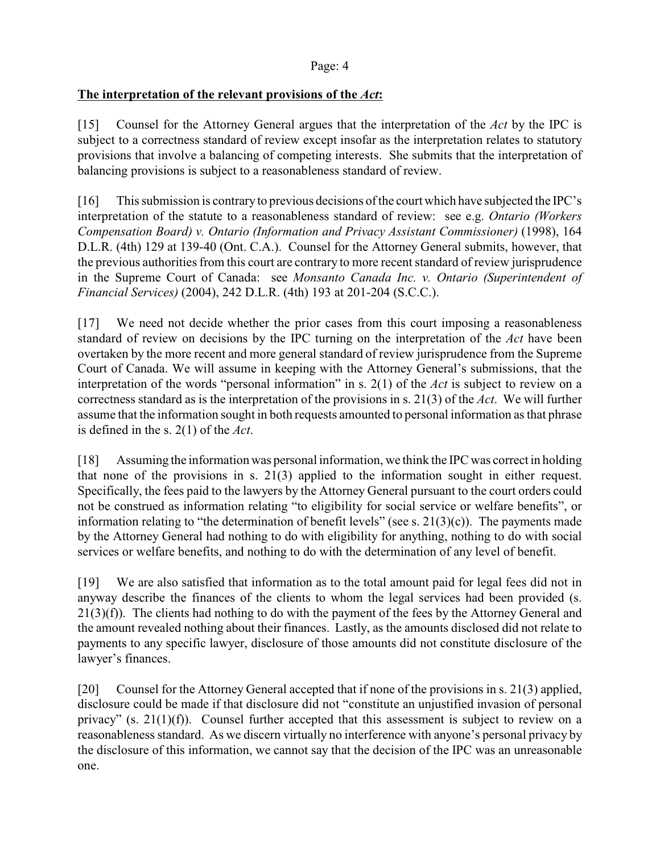# **The interpretation of the relevant provisions of the** *Act***:**

[15] Counsel for the Attorney General argues that the interpretation of the *Act* by the IPC is subject to a correctness standard of review except insofar as the interpretation relates to statutory provisions that involve a balancing of competing interests. She submits that the interpretation of balancing provisions is subject to a reasonableness standard of review.

[16] This submission is contrary to previous decisions of the court which have subjected the IPC's interpretation of the statute to a reasonableness standard of review: see e.g. *Ontario (Workers Compensation Board) v. Ontario (Information and Privacy Assistant Commissioner)* (1998), 164 D.L.R. (4th) 129 at 139-40 (Ont. C.A.). Counsel for the Attorney General submits, however, that the previous authorities from this court are contrary to more recent standard of review jurisprudence in the Supreme Court of Canada: see *Monsanto Canada Inc. v. Ontario (Superintendent of Financial Services)* (2004), 242 D.L.R. (4th) 193 at 201-204 (S.C.C.).

[17] We need not decide whether the prior cases from this court imposing a reasonableness standard of review on decisions by the IPC turning on the interpretation of the *Act* have been overtaken by the more recent and more general standard of review jurisprudence from the Supreme Court of Canada. We will assume in keeping with the Attorney General's submissions, that the interpretation of the words "personal information" in s. 2(1) of the *Act* is subject to review on a correctness standard as is the interpretation of the provisions in s. 21(3) of the *Act*. We will further assume that the information sought in both requests amounted to personal information as that phrase is defined in the s. 2(1) of the *Act*.

[18] Assuming the information was personal information, we think the IPC was correct in holding that none of the provisions in s. 21(3) applied to the information sought in either request. Specifically, the fees paid to the lawyers by the Attorney General pursuant to the court orders could not be construed as information relating "to eligibility for social service or welfare benefits", or information relating to "the determination of benefit levels" (see s.  $21(3)(c)$ ). The payments made by the Attorney General had nothing to do with eligibility for anything, nothing to do with social services or welfare benefits, and nothing to do with the determination of any level of benefit.

[19] We are also satisfied that information as to the total amount paid for legal fees did not in anyway describe the finances of the clients to whom the legal services had been provided (s. 21(3)(f)). The clients had nothing to do with the payment of the fees by the Attorney General and the amount revealed nothing about their finances. Lastly, as the amounts disclosed did not relate to payments to any specific lawyer, disclosure of those amounts did not constitute disclosure of the lawyer's finances.

[20] Counsel for the Attorney General accepted that if none of the provisions in s. 21(3) applied, disclosure could be made if that disclosure did not "constitute an unjustified invasion of personal privacy" (s. 21(1)(f)). Counsel further accepted that this assessment is subject to review on a reasonableness standard. As we discern virtually no interference with anyone's personal privacy by the disclosure of this information, we cannot say that the decision of the IPC was an unreasonable one.